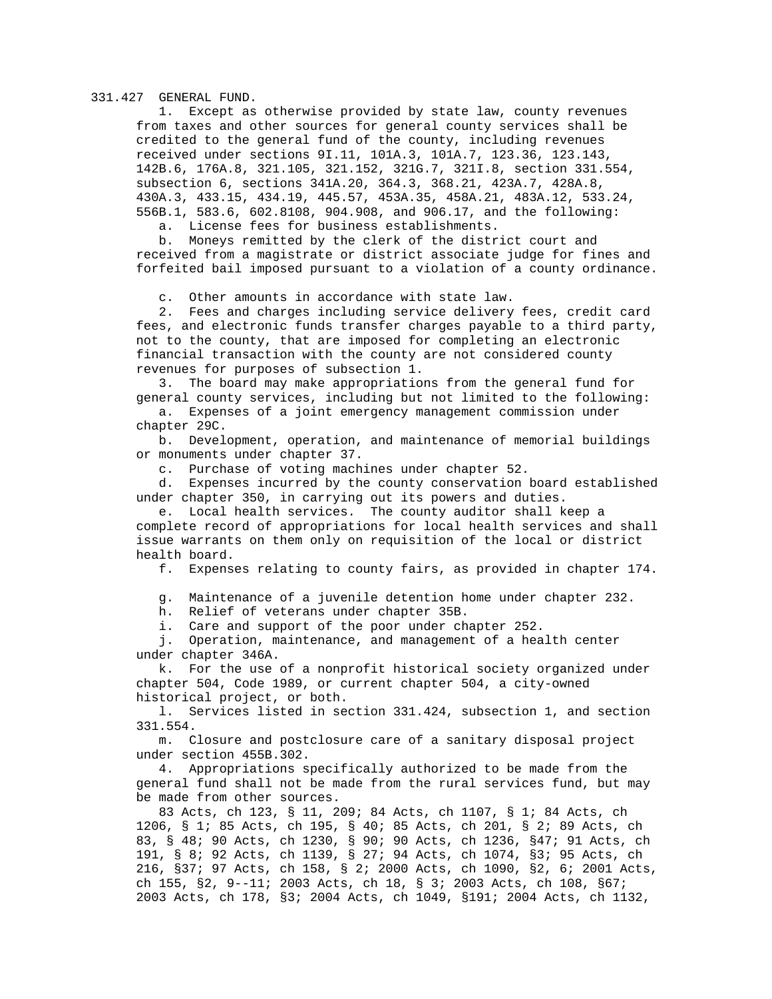## 331.427 GENERAL FUND.

 1. Except as otherwise provided by state law, county revenues from taxes and other sources for general county services shall be credited to the general fund of the county, including revenues received under sections 9I.11, 101A.3, 101A.7, 123.36, 123.143, 142B.6, 176A.8, 321.105, 321.152, 321G.7, 321I.8, section 331.554, subsection 6, sections 341A.20, 364.3, 368.21, 423A.7, 428A.8, 430A.3, 433.15, 434.19, 445.57, 453A.35, 458A.21, 483A.12, 533.24, 556B.1, 583.6, 602.8108, 904.908, and 906.17, and the following:

a. License fees for business establishments.

 b. Moneys remitted by the clerk of the district court and received from a magistrate or district associate judge for fines and forfeited bail imposed pursuant to a violation of a county ordinance.

c. Other amounts in accordance with state law.

 2. Fees and charges including service delivery fees, credit card fees, and electronic funds transfer charges payable to a third party, not to the county, that are imposed for completing an electronic financial transaction with the county are not considered county revenues for purposes of subsection 1.

 3. The board may make appropriations from the general fund for general county services, including but not limited to the following:

 a. Expenses of a joint emergency management commission under chapter 29C.

 b. Development, operation, and maintenance of memorial buildings or monuments under chapter 37.

c. Purchase of voting machines under chapter 52.

 d. Expenses incurred by the county conservation board established under chapter 350, in carrying out its powers and duties.

 e. Local health services. The county auditor shall keep a complete record of appropriations for local health services and shall issue warrants on them only on requisition of the local or district health board.

f. Expenses relating to county fairs, as provided in chapter 174.

g. Maintenance of a juvenile detention home under chapter 232.

h. Relief of veterans under chapter 35B.

i. Care and support of the poor under chapter 252.

 j. Operation, maintenance, and management of a health center under chapter 346A.

 k. For the use of a nonprofit historical society organized under chapter 504, Code 1989, or current chapter 504, a city-owned historical project, or both.

 l. Services listed in section 331.424, subsection 1, and section 331.554.

 m. Closure and postclosure care of a sanitary disposal project under section 455B.302.

 4. Appropriations specifically authorized to be made from the general fund shall not be made from the rural services fund, but may be made from other sources.

 83 Acts, ch 123, § 11, 209; 84 Acts, ch 1107, § 1; 84 Acts, ch 1206, § 1; 85 Acts, ch 195, § 40; 85 Acts, ch 201, § 2; 89 Acts, ch 83, § 48; 90 Acts, ch 1230, § 90; 90 Acts, ch 1236, §47; 91 Acts, ch 191, § 8; 92 Acts, ch 1139, § 27; 94 Acts, ch 1074, §3; 95 Acts, ch 216, §37; 97 Acts, ch 158, § 2; 2000 Acts, ch 1090, §2, 6; 2001 Acts, ch 155, §2, 9--11; 2003 Acts, ch 18, § 3; 2003 Acts, ch 108, §67; 2003 Acts, ch 178, §3; 2004 Acts, ch 1049, §191; 2004 Acts, ch 1132,